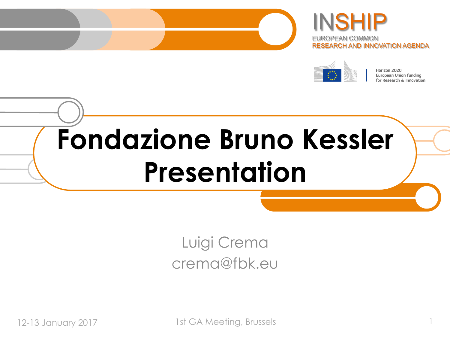





Horizon 2020 European Union funding for Research & Innovation

# **Fondazione Bruno Kessler Presentation**

Luigi Crema crema@fbk.eu

12-13 January 2017 1st GA Meeting, Brussels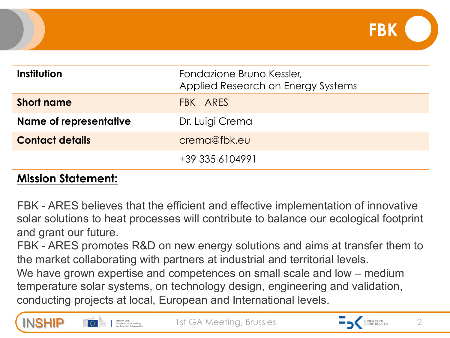| Institution                   | Fondazione Bruno Kessler,<br>Applied Research on Energy Systems |
|-------------------------------|-----------------------------------------------------------------|
| <b>Short name</b>             | FBK - ARES                                                      |
| <b>Name of representative</b> | Dr. Luigi Crema                                                 |
| <b>Contact details</b>        | crema@fbk.eu                                                    |
|                               | +39 335 6104991                                                 |

#### **Mission Statement:**

FBK - ARES believes that the efficient and effective implementation of innovative solar solutions to heat processes will contribute to balance our ecological footprint and grant our future.

FBK - ARES promotes R&D on new energy solutions and aims at transfer them to the market collaborating with partners at industrial and territorial levels.

We have grown expertise and competences on small scale and low – medium temperature solar systems, on technology design, engineering and validation, conducting projects at local, European and International levels.





**FBK**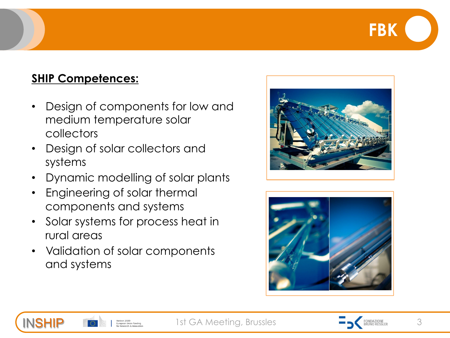## **FBK**

#### **SHIP Competences:**

INSHIP

- Design of components for low and medium temperature solar collectors
- Design of solar collectors and systems
- Dynamic modelling of solar plants
- Engineering of solar thermal components and systems
- Solar systems for process heat in rural areas
- Validation of solar components and systems





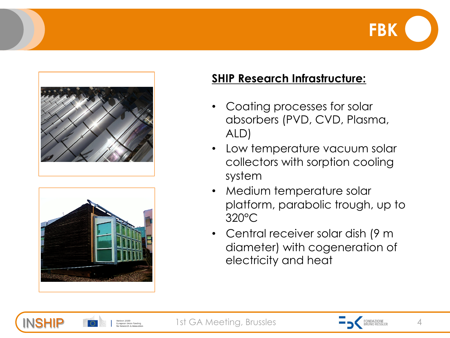





Horizon 2020

INSHIP

#### **SHIP Research Infrastructure:**

- Coating processes for solar absorbers (PVD, CVD, Plasma, ALD)
- Low temperature vacuum solar collectors with sorption cooling system
- Medium temperature solar platform, parabolic trough, up to 320°C
- Central receiver solar dish (9 m diameter) with cogeneration of electricity and heat